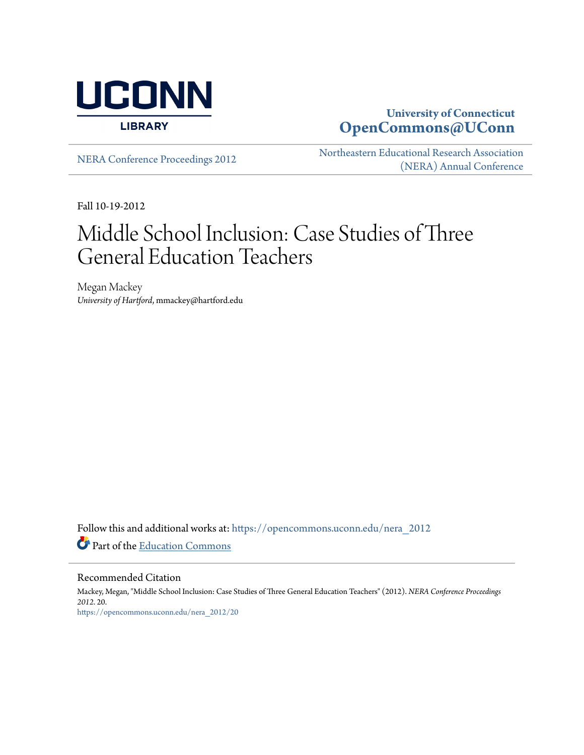

# **University of Connecticut [OpenCommons@UConn](https://opencommons.uconn.edu?utm_source=opencommons.uconn.edu%2Fnera_2012%2F20&utm_medium=PDF&utm_campaign=PDFCoverPages)**

[NERA Conference Proceedings 2012](https://opencommons.uconn.edu/nera_2012?utm_source=opencommons.uconn.edu%2Fnera_2012%2F20&utm_medium=PDF&utm_campaign=PDFCoverPages) [Northeastern Educational Research Association](https://opencommons.uconn.edu/nera?utm_source=opencommons.uconn.edu%2Fnera_2012%2F20&utm_medium=PDF&utm_campaign=PDFCoverPages) [\(NERA\) Annual Conference](https://opencommons.uconn.edu/nera?utm_source=opencommons.uconn.edu%2Fnera_2012%2F20&utm_medium=PDF&utm_campaign=PDFCoverPages)

Fall 10-19-2012

# Middle School Inclusion: Case Studies of Three General Education Teachers

Megan Mackey *University of Hartford*, mmackey@hartford.edu

Follow this and additional works at: [https://opencommons.uconn.edu/nera\\_2012](https://opencommons.uconn.edu/nera_2012?utm_source=opencommons.uconn.edu%2Fnera_2012%2F20&utm_medium=PDF&utm_campaign=PDFCoverPages) Part of the [Education Commons](http://network.bepress.com/hgg/discipline/784?utm_source=opencommons.uconn.edu%2Fnera_2012%2F20&utm_medium=PDF&utm_campaign=PDFCoverPages)

Recommended Citation

Mackey, Megan, "Middle School Inclusion: Case Studies of Three General Education Teachers" (2012). *NERA Conference Proceedings 2012*. 20. [https://opencommons.uconn.edu/nera\\_2012/20](https://opencommons.uconn.edu/nera_2012/20?utm_source=opencommons.uconn.edu%2Fnera_2012%2F20&utm_medium=PDF&utm_campaign=PDFCoverPages)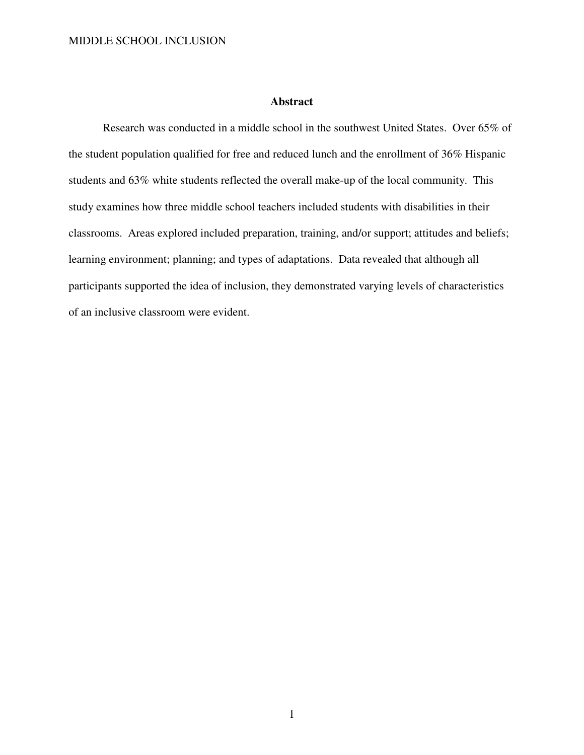# **Abstract**

Research was conducted in a middle school in the southwest United States. Over 65% of the student population qualified for free and reduced lunch and the enrollment of 36% Hispanic students and 63% white students reflected the overall make-up of the local community. This study examines how three middle school teachers included students with disabilities in their classrooms. Areas explored included preparation, training, and/or support; attitudes and beliefs; learning environment; planning; and types of adaptations. Data revealed that although all participants supported the idea of inclusion, they demonstrated varying levels of characteristics of an inclusive classroom were evident.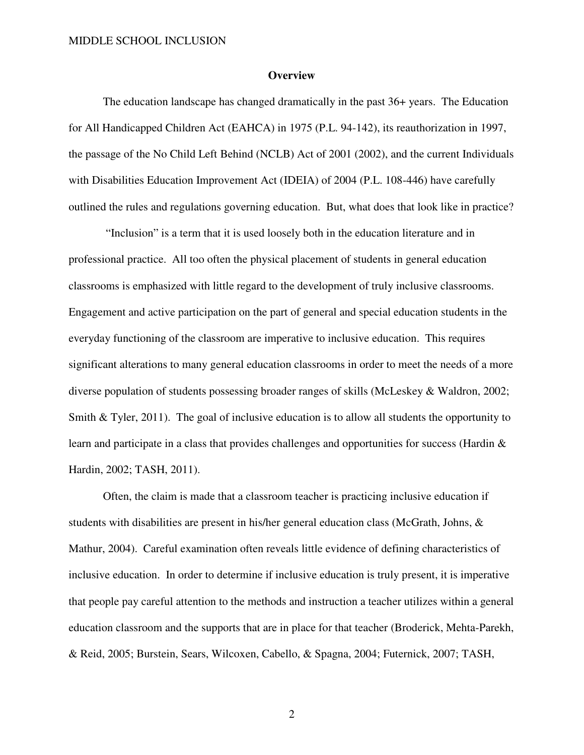#### **Overview**

The education landscape has changed dramatically in the past 36+ years. The Education for All Handicapped Children Act (EAHCA) in 1975 (P.L. 94-142), its reauthorization in 1997, the passage of the No Child Left Behind (NCLB) Act of 2001 (2002), and the current Individuals with Disabilities Education Improvement Act (IDEIA) of 2004 (P.L. 108-446) have carefully outlined the rules and regulations governing education. But, what does that look like in practice?

 "Inclusion" is a term that it is used loosely both in the education literature and in professional practice. All too often the physical placement of students in general education classrooms is emphasized with little regard to the development of truly inclusive classrooms. Engagement and active participation on the part of general and special education students in the everyday functioning of the classroom are imperative to inclusive education. This requires significant alterations to many general education classrooms in order to meet the needs of a more diverse population of students possessing broader ranges of skills (McLeskey & Waldron, 2002; Smith & Tyler, 2011). The goal of inclusive education is to allow all students the opportunity to learn and participate in a class that provides challenges and opportunities for success (Hardin & Hardin, 2002; TASH, 2011).

Often, the claim is made that a classroom teacher is practicing inclusive education if students with disabilities are present in his/her general education class (McGrath, Johns, & Mathur, 2004). Careful examination often reveals little evidence of defining characteristics of inclusive education. In order to determine if inclusive education is truly present, it is imperative that people pay careful attention to the methods and instruction a teacher utilizes within a general education classroom and the supports that are in place for that teacher (Broderick, Mehta-Parekh, & Reid, 2005; Burstein, Sears, Wilcoxen, Cabello, & Spagna, 2004; Futernick, 2007; TASH,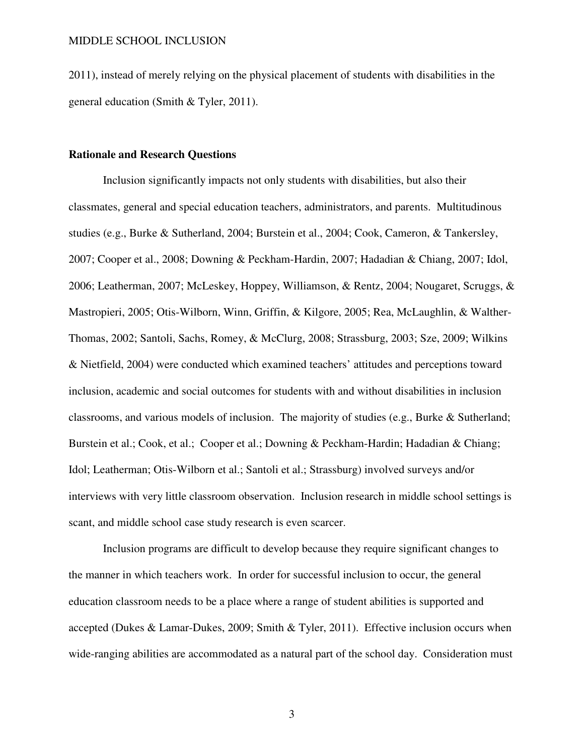2011), instead of merely relying on the physical placement of students with disabilities in the general education (Smith & Tyler, 2011).

# **Rationale and Research Questions**

Inclusion significantly impacts not only students with disabilities, but also their classmates, general and special education teachers, administrators, and parents. Multitudinous studies (e.g., Burke & Sutherland, 2004; Burstein et al., 2004; Cook, Cameron, & Tankersley, 2007; Cooper et al., 2008; Downing & Peckham-Hardin, 2007; Hadadian & Chiang, 2007; Idol, 2006; Leatherman, 2007; McLeskey, Hoppey, Williamson, & Rentz, 2004; Nougaret, Scruggs, & Mastropieri, 2005; Otis-Wilborn, Winn, Griffin, & Kilgore, 2005; Rea, McLaughlin, & Walther-Thomas, 2002; Santoli, Sachs, Romey, & McClurg, 2008; Strassburg, 2003; Sze, 2009; Wilkins & Nietfield, 2004) were conducted which examined teachers' attitudes and perceptions toward inclusion, academic and social outcomes for students with and without disabilities in inclusion classrooms, and various models of inclusion. The majority of studies (e.g., Burke & Sutherland; Burstein et al.; Cook, et al.; Cooper et al.; Downing & Peckham-Hardin; Hadadian & Chiang; Idol; Leatherman; Otis-Wilborn et al.; Santoli et al.; Strassburg) involved surveys and/or interviews with very little classroom observation. Inclusion research in middle school settings is scant, and middle school case study research is even scarcer.

 Inclusion programs are difficult to develop because they require significant changes to the manner in which teachers work. In order for successful inclusion to occur, the general education classroom needs to be a place where a range of student abilities is supported and accepted (Dukes & Lamar-Dukes, 2009; Smith & Tyler, 2011). Effective inclusion occurs when wide-ranging abilities are accommodated as a natural part of the school day. Consideration must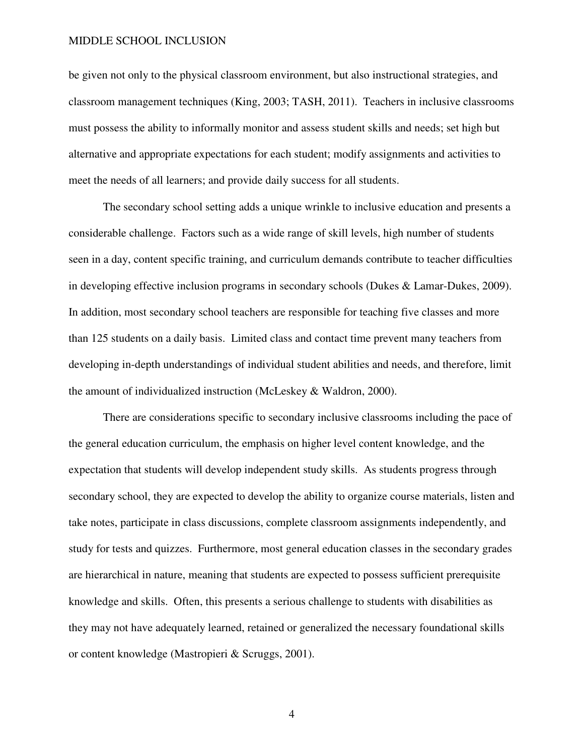be given not only to the physical classroom environment, but also instructional strategies, and classroom management techniques (King, 2003; TASH, 2011). Teachers in inclusive classrooms must possess the ability to informally monitor and assess student skills and needs; set high but alternative and appropriate expectations for each student; modify assignments and activities to meet the needs of all learners; and provide daily success for all students.

 The secondary school setting adds a unique wrinkle to inclusive education and presents a considerable challenge. Factors such as a wide range of skill levels, high number of students seen in a day, content specific training, and curriculum demands contribute to teacher difficulties in developing effective inclusion programs in secondary schools (Dukes & Lamar-Dukes, 2009). In addition, most secondary school teachers are responsible for teaching five classes and more than 125 students on a daily basis. Limited class and contact time prevent many teachers from developing in-depth understandings of individual student abilities and needs, and therefore, limit the amount of individualized instruction (McLeskey & Waldron, 2000).

 There are considerations specific to secondary inclusive classrooms including the pace of the general education curriculum, the emphasis on higher level content knowledge, and the expectation that students will develop independent study skills. As students progress through secondary school, they are expected to develop the ability to organize course materials, listen and take notes, participate in class discussions, complete classroom assignments independently, and study for tests and quizzes. Furthermore, most general education classes in the secondary grades are hierarchical in nature, meaning that students are expected to possess sufficient prerequisite knowledge and skills. Often, this presents a serious challenge to students with disabilities as they may not have adequately learned, retained or generalized the necessary foundational skills or content knowledge (Mastropieri & Scruggs, 2001).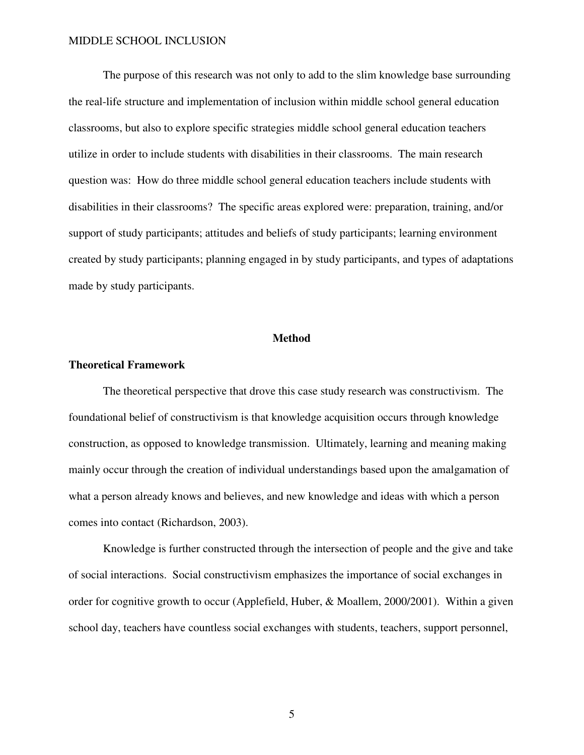The purpose of this research was not only to add to the slim knowledge base surrounding the real-life structure and implementation of inclusion within middle school general education classrooms, but also to explore specific strategies middle school general education teachers utilize in order to include students with disabilities in their classrooms. The main research question was: How do three middle school general education teachers include students with disabilities in their classrooms? The specific areas explored were: preparation, training, and/or support of study participants; attitudes and beliefs of study participants; learning environment created by study participants; planning engaged in by study participants, and types of adaptations made by study participants.

#### **Method**

#### **Theoretical Framework**

The theoretical perspective that drove this case study research was constructivism. The foundational belief of constructivism is that knowledge acquisition occurs through knowledge construction, as opposed to knowledge transmission. Ultimately, learning and meaning making mainly occur through the creation of individual understandings based upon the amalgamation of what a person already knows and believes, and new knowledge and ideas with which a person comes into contact (Richardson, 2003).

 Knowledge is further constructed through the intersection of people and the give and take of social interactions. Social constructivism emphasizes the importance of social exchanges in order for cognitive growth to occur (Applefield, Huber, & Moallem, 2000/2001). Within a given school day, teachers have countless social exchanges with students, teachers, support personnel,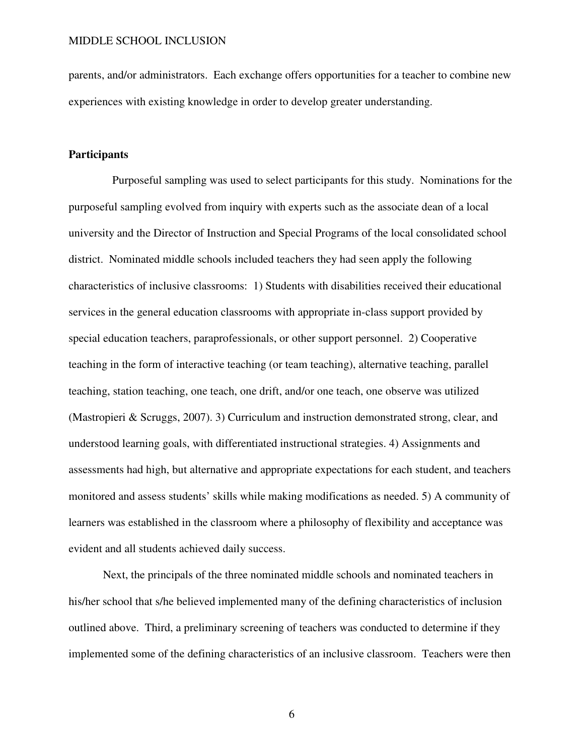parents, and/or administrators. Each exchange offers opportunities for a teacher to combine new experiences with existing knowledge in order to develop greater understanding.

# **Participants**

 Purposeful sampling was used to select participants for this study. Nominations for the purposeful sampling evolved from inquiry with experts such as the associate dean of a local university and the Director of Instruction and Special Programs of the local consolidated school district. Nominated middle schools included teachers they had seen apply the following characteristics of inclusive classrooms: 1) Students with disabilities received their educational services in the general education classrooms with appropriate in-class support provided by special education teachers, paraprofessionals, or other support personnel. 2) Cooperative teaching in the form of interactive teaching (or team teaching), alternative teaching, parallel teaching, station teaching, one teach, one drift, and/or one teach, one observe was utilized (Mastropieri & Scruggs, 2007). 3) Curriculum and instruction demonstrated strong, clear, and understood learning goals, with differentiated instructional strategies. 4) Assignments and assessments had high, but alternative and appropriate expectations for each student, and teachers monitored and assess students' skills while making modifications as needed. 5) A community of learners was established in the classroom where a philosophy of flexibility and acceptance was evident and all students achieved daily success.

Next, the principals of the three nominated middle schools and nominated teachers in his/her school that s/he believed implemented many of the defining characteristics of inclusion outlined above. Third, a preliminary screening of teachers was conducted to determine if they implemented some of the defining characteristics of an inclusive classroom. Teachers were then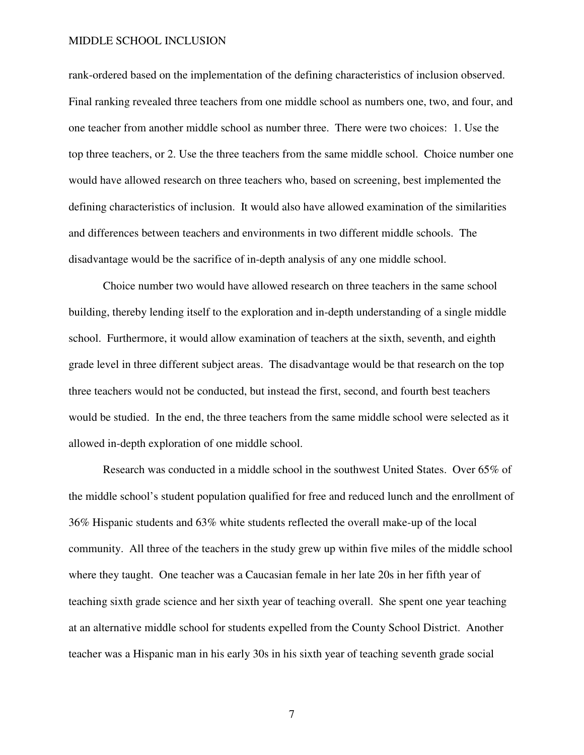rank-ordered based on the implementation of the defining characteristics of inclusion observed. Final ranking revealed three teachers from one middle school as numbers one, two, and four, and one teacher from another middle school as number three. There were two choices: 1. Use the top three teachers, or 2. Use the three teachers from the same middle school. Choice number one would have allowed research on three teachers who, based on screening, best implemented the defining characteristics of inclusion. It would also have allowed examination of the similarities and differences between teachers and environments in two different middle schools. The disadvantage would be the sacrifice of in-depth analysis of any one middle school.

Choice number two would have allowed research on three teachers in the same school building, thereby lending itself to the exploration and in-depth understanding of a single middle school. Furthermore, it would allow examination of teachers at the sixth, seventh, and eighth grade level in three different subject areas. The disadvantage would be that research on the top three teachers would not be conducted, but instead the first, second, and fourth best teachers would be studied. In the end, the three teachers from the same middle school were selected as it allowed in-depth exploration of one middle school.

Research was conducted in a middle school in the southwest United States. Over 65% of the middle school's student population qualified for free and reduced lunch and the enrollment of 36% Hispanic students and 63% white students reflected the overall make-up of the local community. All three of the teachers in the study grew up within five miles of the middle school where they taught. One teacher was a Caucasian female in her late 20s in her fifth year of teaching sixth grade science and her sixth year of teaching overall. She spent one year teaching at an alternative middle school for students expelled from the County School District. Another teacher was a Hispanic man in his early 30s in his sixth year of teaching seventh grade social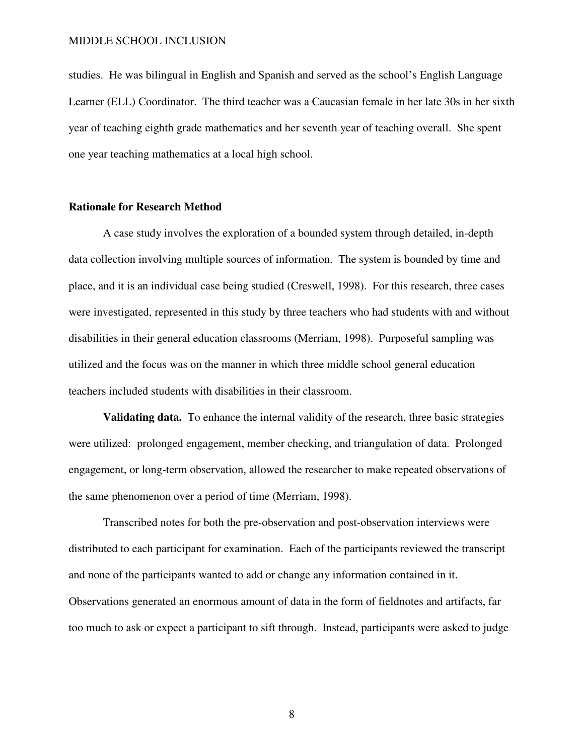studies. He was bilingual in English and Spanish and served as the school's English Language Learner (ELL) Coordinator. The third teacher was a Caucasian female in her late 30s in her sixth year of teaching eighth grade mathematics and her seventh year of teaching overall. She spent one year teaching mathematics at a local high school.

# **Rationale for Research Method**

A case study involves the exploration of a bounded system through detailed, in-depth data collection involving multiple sources of information. The system is bounded by time and place, and it is an individual case being studied (Creswell, 1998). For this research, three cases were investigated, represented in this study by three teachers who had students with and without disabilities in their general education classrooms (Merriam, 1998). Purposeful sampling was utilized and the focus was on the manner in which three middle school general education teachers included students with disabilities in their classroom.

**Validating data.** To enhance the internal validity of the research, three basic strategies were utilized: prolonged engagement, member checking, and triangulation of data. Prolonged engagement, or long-term observation, allowed the researcher to make repeated observations of the same phenomenon over a period of time (Merriam, 1998).

Transcribed notes for both the pre-observation and post-observation interviews were distributed to each participant for examination. Each of the participants reviewed the transcript and none of the participants wanted to add or change any information contained in it. Observations generated an enormous amount of data in the form of fieldnotes and artifacts, far too much to ask or expect a participant to sift through. Instead, participants were asked to judge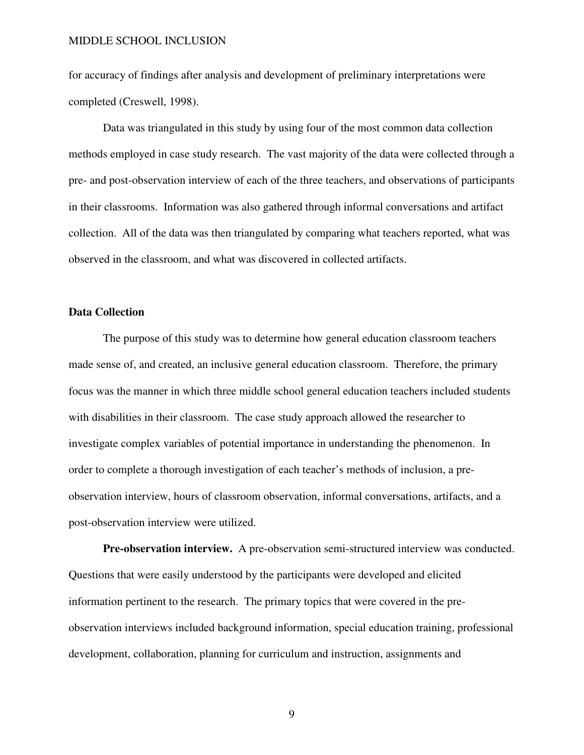for accuracy of findings after analysis and development of preliminary interpretations were completed (Creswell, 1998).

Data was triangulated in this study by using four of the most common data collection methods employed in case study research. The vast majority of the data were collected through a pre- and post-observation interview of each of the three teachers, and observations of participants in their classrooms. Information was also gathered through informal conversations and artifact collection. All of the data was then triangulated by comparing what teachers reported, what was observed in the classroom, and what was discovered in collected artifacts.

# **Data Collection**

The purpose of this study was to determine how general education classroom teachers made sense of, and created, an inclusive general education classroom. Therefore, the primary focus was the manner in which three middle school general education teachers included students with disabilities in their classroom. The case study approach allowed the researcher to investigate complex variables of potential importance in understanding the phenomenon. In order to complete a thorough investigation of each teacher's methods of inclusion, a preobservation interview, hours of classroom observation, informal conversations, artifacts, and a post-observation interview were utilized.

**Pre-observation interview.** A pre-observation semi-structured interview was conducted. Questions that were easily understood by the participants were developed and elicited information pertinent to the research. The primary topics that were covered in the preobservation interviews included background information, special education training, professional development, collaboration, planning for curriculum and instruction, assignments and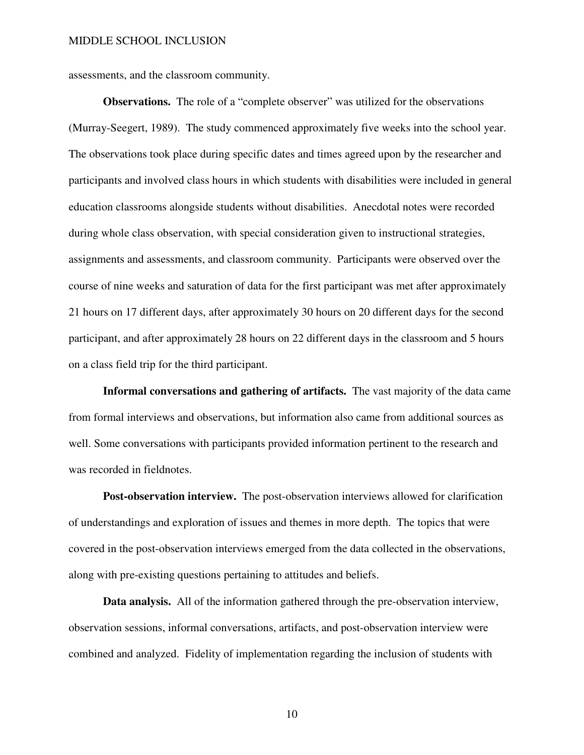assessments, and the classroom community.

**Observations.** The role of a "complete observer" was utilized for the observations (Murray-Seegert, 1989). The study commenced approximately five weeks into the school year. The observations took place during specific dates and times agreed upon by the researcher and participants and involved class hours in which students with disabilities were included in general education classrooms alongside students without disabilities. Anecdotal notes were recorded during whole class observation, with special consideration given to instructional strategies, assignments and assessments, and classroom community. Participants were observed over the course of nine weeks and saturation of data for the first participant was met after approximately 21 hours on 17 different days, after approximately 30 hours on 20 different days for the second participant, and after approximately 28 hours on 22 different days in the classroom and 5 hours on a class field trip for the third participant.

**Informal conversations and gathering of artifacts.** The vast majority of the data came from formal interviews and observations, but information also came from additional sources as well. Some conversations with participants provided information pertinent to the research and was recorded in fieldnotes.

**Post-observation interview.** The post-observation interviews allowed for clarification of understandings and exploration of issues and themes in more depth. The topics that were covered in the post-observation interviews emerged from the data collected in the observations, along with pre-existing questions pertaining to attitudes and beliefs.

 **Data analysis.** All of the information gathered through the pre-observation interview, observation sessions, informal conversations, artifacts, and post-observation interview were combined and analyzed. Fidelity of implementation regarding the inclusion of students with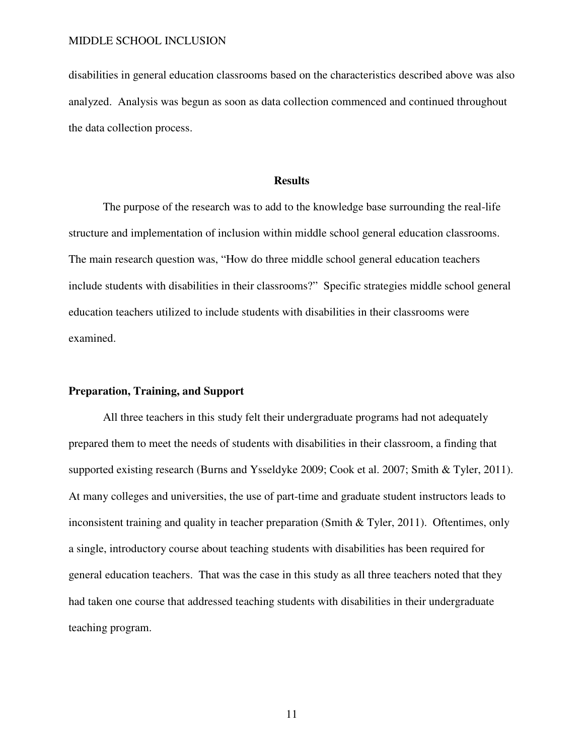disabilities in general education classrooms based on the characteristics described above was also analyzed. Analysis was begun as soon as data collection commenced and continued throughout the data collection process.

#### **Results**

The purpose of the research was to add to the knowledge base surrounding the real-life structure and implementation of inclusion within middle school general education classrooms. The main research question was, "How do three middle school general education teachers include students with disabilities in their classrooms?" Specific strategies middle school general education teachers utilized to include students with disabilities in their classrooms were examined.

# **Preparation, Training, and Support**

All three teachers in this study felt their undergraduate programs had not adequately prepared them to meet the needs of students with disabilities in their classroom, a finding that supported existing research (Burns and Ysseldyke 2009; Cook et al. 2007; Smith & Tyler, 2011). At many colleges and universities, the use of part-time and graduate student instructors leads to inconsistent training and quality in teacher preparation (Smith & Tyler, 2011). Oftentimes, only a single, introductory course about teaching students with disabilities has been required for general education teachers. That was the case in this study as all three teachers noted that they had taken one course that addressed teaching students with disabilities in their undergraduate teaching program.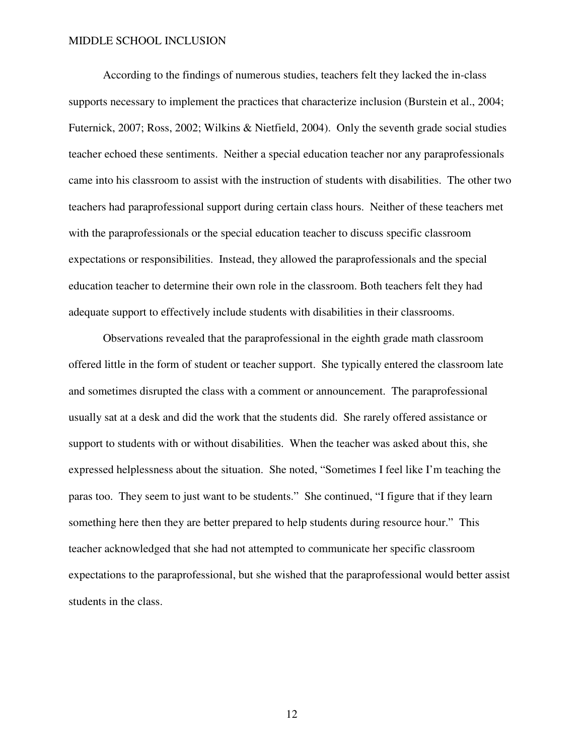According to the findings of numerous studies, teachers felt they lacked the in-class supports necessary to implement the practices that characterize inclusion (Burstein et al., 2004; Futernick, 2007; Ross, 2002; Wilkins & Nietfield, 2004). Only the seventh grade social studies teacher echoed these sentiments. Neither a special education teacher nor any paraprofessionals came into his classroom to assist with the instruction of students with disabilities. The other two teachers had paraprofessional support during certain class hours. Neither of these teachers met with the paraprofessionals or the special education teacher to discuss specific classroom expectations or responsibilities. Instead, they allowed the paraprofessionals and the special education teacher to determine their own role in the classroom. Both teachers felt they had adequate support to effectively include students with disabilities in their classrooms.

Observations revealed that the paraprofessional in the eighth grade math classroom offered little in the form of student or teacher support. She typically entered the classroom late and sometimes disrupted the class with a comment or announcement. The paraprofessional usually sat at a desk and did the work that the students did. She rarely offered assistance or support to students with or without disabilities. When the teacher was asked about this, she expressed helplessness about the situation. She noted, "Sometimes I feel like I'm teaching the paras too. They seem to just want to be students." She continued, "I figure that if they learn something here then they are better prepared to help students during resource hour." This teacher acknowledged that she had not attempted to communicate her specific classroom expectations to the paraprofessional, but she wished that the paraprofessional would better assist students in the class.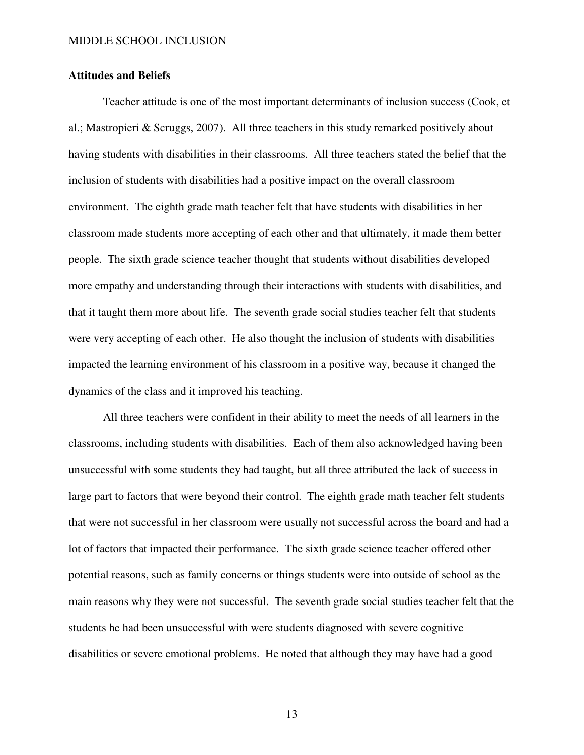# **Attitudes and Beliefs**

Teacher attitude is one of the most important determinants of inclusion success (Cook, et al.; Mastropieri & Scruggs, 2007). All three teachers in this study remarked positively about having students with disabilities in their classrooms. All three teachers stated the belief that the inclusion of students with disabilities had a positive impact on the overall classroom environment. The eighth grade math teacher felt that have students with disabilities in her classroom made students more accepting of each other and that ultimately, it made them better people. The sixth grade science teacher thought that students without disabilities developed more empathy and understanding through their interactions with students with disabilities, and that it taught them more about life. The seventh grade social studies teacher felt that students were very accepting of each other. He also thought the inclusion of students with disabilities impacted the learning environment of his classroom in a positive way, because it changed the dynamics of the class and it improved his teaching.

All three teachers were confident in their ability to meet the needs of all learners in the classrooms, including students with disabilities. Each of them also acknowledged having been unsuccessful with some students they had taught, but all three attributed the lack of success in large part to factors that were beyond their control. The eighth grade math teacher felt students that were not successful in her classroom were usually not successful across the board and had a lot of factors that impacted their performance. The sixth grade science teacher offered other potential reasons, such as family concerns or things students were into outside of school as the main reasons why they were not successful. The seventh grade social studies teacher felt that the students he had been unsuccessful with were students diagnosed with severe cognitive disabilities or severe emotional problems. He noted that although they may have had a good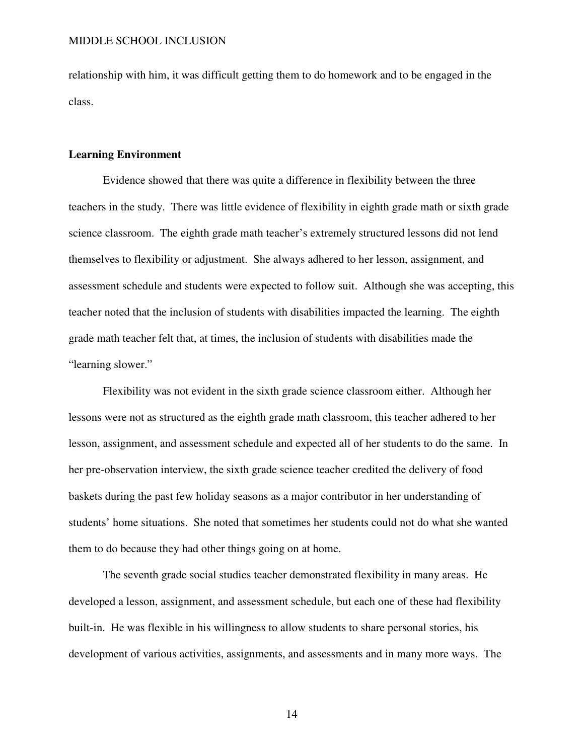relationship with him, it was difficult getting them to do homework and to be engaged in the class.

# **Learning Environment**

Evidence showed that there was quite a difference in flexibility between the three teachers in the study. There was little evidence of flexibility in eighth grade math or sixth grade science classroom. The eighth grade math teacher's extremely structured lessons did not lend themselves to flexibility or adjustment. She always adhered to her lesson, assignment, and assessment schedule and students were expected to follow suit. Although she was accepting, this teacher noted that the inclusion of students with disabilities impacted the learning. The eighth grade math teacher felt that, at times, the inclusion of students with disabilities made the "learning slower."

Flexibility was not evident in the sixth grade science classroom either. Although her lessons were not as structured as the eighth grade math classroom, this teacher adhered to her lesson, assignment, and assessment schedule and expected all of her students to do the same. In her pre-observation interview, the sixth grade science teacher credited the delivery of food baskets during the past few holiday seasons as a major contributor in her understanding of students' home situations. She noted that sometimes her students could not do what she wanted them to do because they had other things going on at home.

The seventh grade social studies teacher demonstrated flexibility in many areas. He developed a lesson, assignment, and assessment schedule, but each one of these had flexibility built-in. He was flexible in his willingness to allow students to share personal stories, his development of various activities, assignments, and assessments and in many more ways. The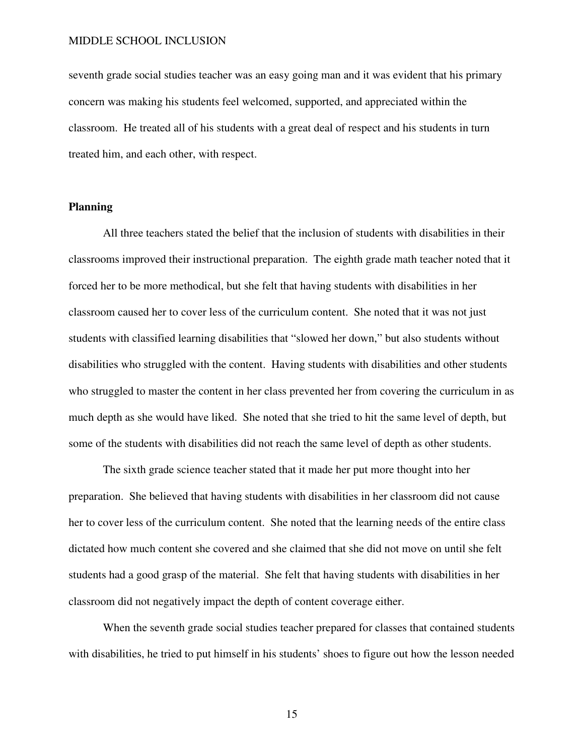seventh grade social studies teacher was an easy going man and it was evident that his primary concern was making his students feel welcomed, supported, and appreciated within the classroom. He treated all of his students with a great deal of respect and his students in turn treated him, and each other, with respect.

# **Planning**

All three teachers stated the belief that the inclusion of students with disabilities in their classrooms improved their instructional preparation. The eighth grade math teacher noted that it forced her to be more methodical, but she felt that having students with disabilities in her classroom caused her to cover less of the curriculum content. She noted that it was not just students with classified learning disabilities that "slowed her down," but also students without disabilities who struggled with the content. Having students with disabilities and other students who struggled to master the content in her class prevented her from covering the curriculum in as much depth as she would have liked. She noted that she tried to hit the same level of depth, but some of the students with disabilities did not reach the same level of depth as other students.

The sixth grade science teacher stated that it made her put more thought into her preparation. She believed that having students with disabilities in her classroom did not cause her to cover less of the curriculum content. She noted that the learning needs of the entire class dictated how much content she covered and she claimed that she did not move on until she felt students had a good grasp of the material. She felt that having students with disabilities in her classroom did not negatively impact the depth of content coverage either.

When the seventh grade social studies teacher prepared for classes that contained students with disabilities, he tried to put himself in his students' shoes to figure out how the lesson needed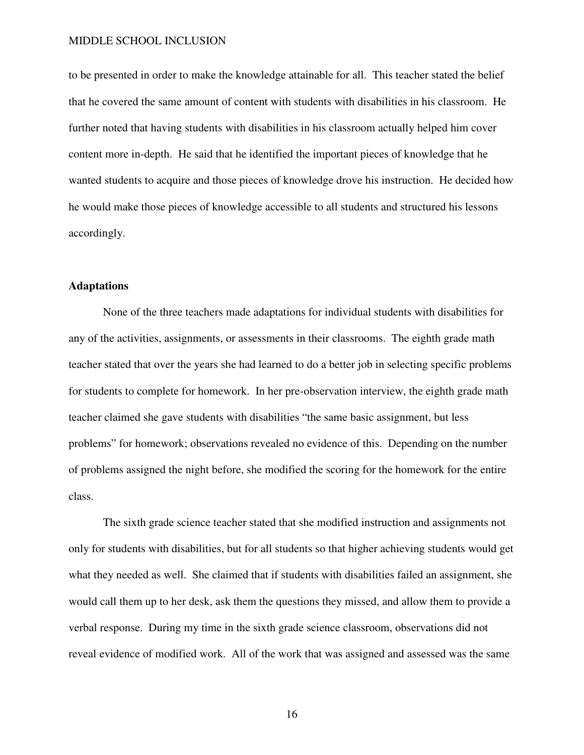to be presented in order to make the knowledge attainable for all. This teacher stated the belief that he covered the same amount of content with students with disabilities in his classroom. He further noted that having students with disabilities in his classroom actually helped him cover content more in-depth. He said that he identified the important pieces of knowledge that he wanted students to acquire and those pieces of knowledge drove his instruction. He decided how he would make those pieces of knowledge accessible to all students and structured his lessons accordingly.

# **Adaptations**

None of the three teachers made adaptations for individual students with disabilities for any of the activities, assignments, or assessments in their classrooms. The eighth grade math teacher stated that over the years she had learned to do a better job in selecting specific problems for students to complete for homework. In her pre-observation interview, the eighth grade math teacher claimed she gave students with disabilities "the same basic assignment, but less problems" for homework; observations revealed no evidence of this. Depending on the number of problems assigned the night before, she modified the scoring for the homework for the entire class.

The sixth grade science teacher stated that she modified instruction and assignments not only for students with disabilities, but for all students so that higher achieving students would get what they needed as well. She claimed that if students with disabilities failed an assignment, she would call them up to her desk, ask them the questions they missed, and allow them to provide a verbal response. During my time in the sixth grade science classroom, observations did not reveal evidence of modified work. All of the work that was assigned and assessed was the same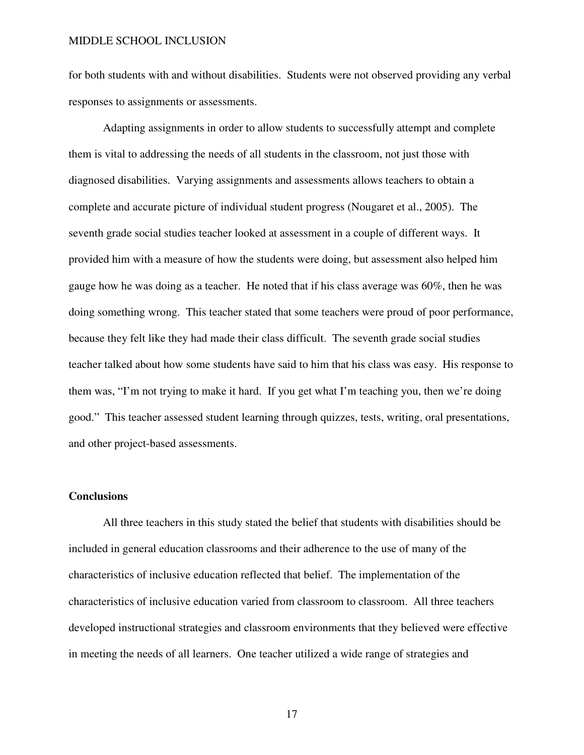for both students with and without disabilities. Students were not observed providing any verbal responses to assignments or assessments.

Adapting assignments in order to allow students to successfully attempt and complete them is vital to addressing the needs of all students in the classroom, not just those with diagnosed disabilities. Varying assignments and assessments allows teachers to obtain a complete and accurate picture of individual student progress (Nougaret et al., 2005). The seventh grade social studies teacher looked at assessment in a couple of different ways. It provided him with a measure of how the students were doing, but assessment also helped him gauge how he was doing as a teacher. He noted that if his class average was 60%, then he was doing something wrong. This teacher stated that some teachers were proud of poor performance, because they felt like they had made their class difficult. The seventh grade social studies teacher talked about how some students have said to him that his class was easy. His response to them was, "I'm not trying to make it hard. If you get what I'm teaching you, then we're doing good." This teacher assessed student learning through quizzes, tests, writing, oral presentations, and other project-based assessments.

# **Conclusions**

All three teachers in this study stated the belief that students with disabilities should be included in general education classrooms and their adherence to the use of many of the characteristics of inclusive education reflected that belief. The implementation of the characteristics of inclusive education varied from classroom to classroom. All three teachers developed instructional strategies and classroom environments that they believed were effective in meeting the needs of all learners. One teacher utilized a wide range of strategies and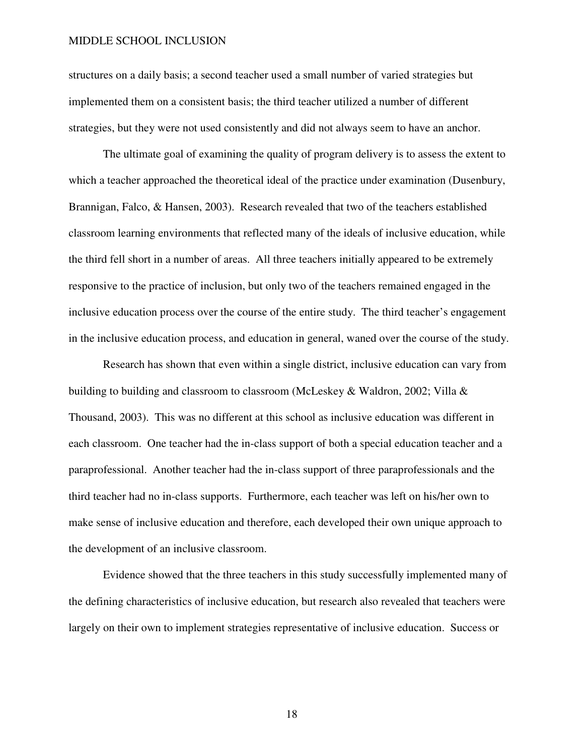structures on a daily basis; a second teacher used a small number of varied strategies but implemented them on a consistent basis; the third teacher utilized a number of different strategies, but they were not used consistently and did not always seem to have an anchor.

The ultimate goal of examining the quality of program delivery is to assess the extent to which a teacher approached the theoretical ideal of the practice under examination (Dusenbury, Brannigan, Falco, & Hansen, 2003). Research revealed that two of the teachers established classroom learning environments that reflected many of the ideals of inclusive education, while the third fell short in a number of areas. All three teachers initially appeared to be extremely responsive to the practice of inclusion, but only two of the teachers remained engaged in the inclusive education process over the course of the entire study. The third teacher's engagement in the inclusive education process, and education in general, waned over the course of the study.

Research has shown that even within a single district, inclusive education can vary from building to building and classroom to classroom (McLeskey & Waldron, 2002; Villa & Thousand, 2003). This was no different at this school as inclusive education was different in each classroom. One teacher had the in-class support of both a special education teacher and a paraprofessional. Another teacher had the in-class support of three paraprofessionals and the third teacher had no in-class supports. Furthermore, each teacher was left on his/her own to make sense of inclusive education and therefore, each developed their own unique approach to the development of an inclusive classroom.

 Evidence showed that the three teachers in this study successfully implemented many of the defining characteristics of inclusive education, but research also revealed that teachers were largely on their own to implement strategies representative of inclusive education. Success or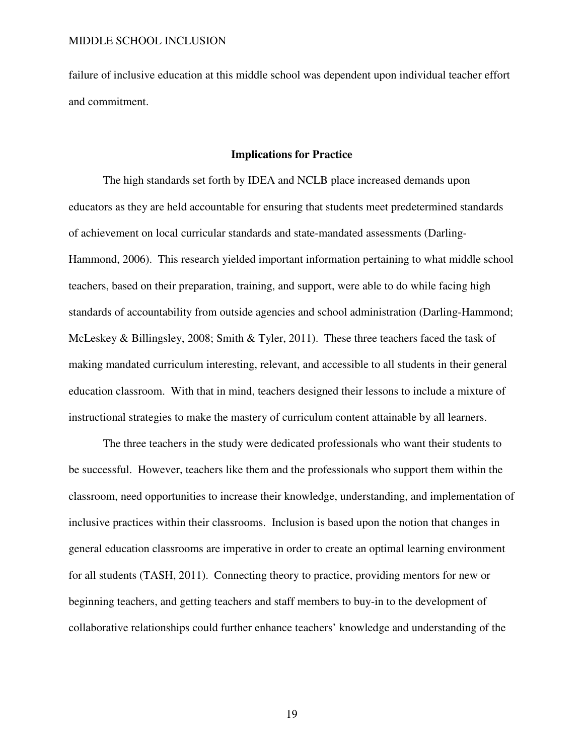failure of inclusive education at this middle school was dependent upon individual teacher effort and commitment.

#### **Implications for Practice**

The high standards set forth by IDEA and NCLB place increased demands upon educators as they are held accountable for ensuring that students meet predetermined standards of achievement on local curricular standards and state-mandated assessments (Darling-Hammond, 2006). This research yielded important information pertaining to what middle school teachers, based on their preparation, training, and support, were able to do while facing high standards of accountability from outside agencies and school administration (Darling-Hammond; McLeskey & Billingsley, 2008; Smith & Tyler, 2011). These three teachers faced the task of making mandated curriculum interesting, relevant, and accessible to all students in their general education classroom. With that in mind, teachers designed their lessons to include a mixture of instructional strategies to make the mastery of curriculum content attainable by all learners.

The three teachers in the study were dedicated professionals who want their students to be successful. However, teachers like them and the professionals who support them within the classroom, need opportunities to increase their knowledge, understanding, and implementation of inclusive practices within their classrooms. Inclusion is based upon the notion that changes in general education classrooms are imperative in order to create an optimal learning environment for all students (TASH, 2011). Connecting theory to practice, providing mentors for new or beginning teachers, and getting teachers and staff members to buy-in to the development of collaborative relationships could further enhance teachers' knowledge and understanding of the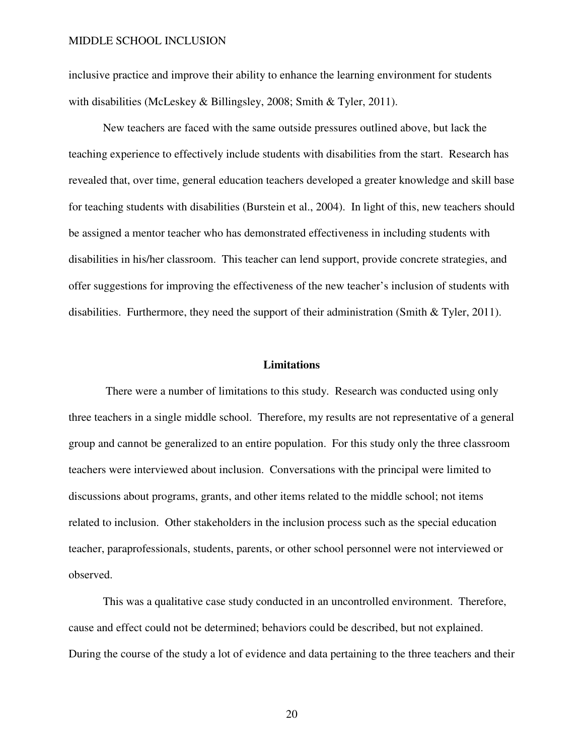inclusive practice and improve their ability to enhance the learning environment for students with disabilities (McLeskey & Billingsley, 2008; Smith & Tyler, 2011).

New teachers are faced with the same outside pressures outlined above, but lack the teaching experience to effectively include students with disabilities from the start. Research has revealed that, over time, general education teachers developed a greater knowledge and skill base for teaching students with disabilities (Burstein et al., 2004). In light of this, new teachers should be assigned a mentor teacher who has demonstrated effectiveness in including students with disabilities in his/her classroom. This teacher can lend support, provide concrete strategies, and offer suggestions for improving the effectiveness of the new teacher's inclusion of students with disabilities. Furthermore, they need the support of their administration (Smith & Tyler, 2011).

#### **Limitations**

 There were a number of limitations to this study. Research was conducted using only three teachers in a single middle school. Therefore, my results are not representative of a general group and cannot be generalized to an entire population. For this study only the three classroom teachers were interviewed about inclusion. Conversations with the principal were limited to discussions about programs, grants, and other items related to the middle school; not items related to inclusion. Other stakeholders in the inclusion process such as the special education teacher, paraprofessionals, students, parents, or other school personnel were not interviewed or observed.

 This was a qualitative case study conducted in an uncontrolled environment. Therefore, cause and effect could not be determined; behaviors could be described, but not explained. During the course of the study a lot of evidence and data pertaining to the three teachers and their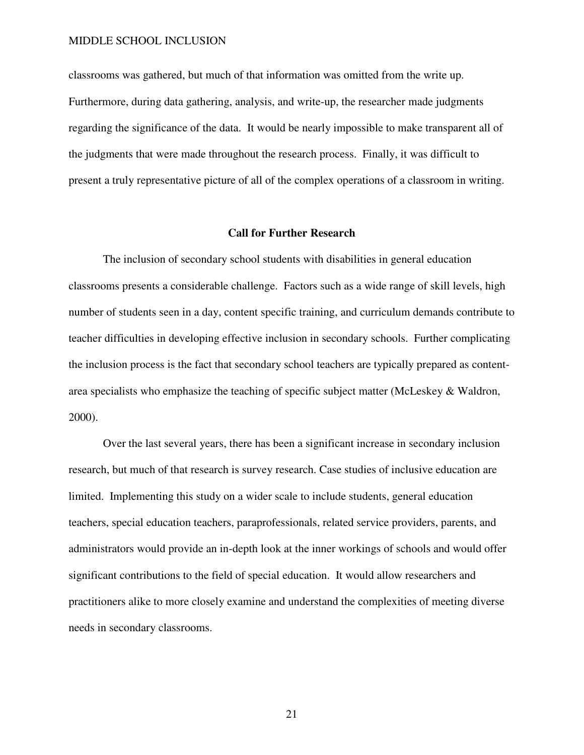classrooms was gathered, but much of that information was omitted from the write up. Furthermore, during data gathering, analysis, and write-up, the researcher made judgments regarding the significance of the data. It would be nearly impossible to make transparent all of the judgments that were made throughout the research process. Finally, it was difficult to present a truly representative picture of all of the complex operations of a classroom in writing.

# **Call for Further Research**

The inclusion of secondary school students with disabilities in general education classrooms presents a considerable challenge. Factors such as a wide range of skill levels, high number of students seen in a day, content specific training, and curriculum demands contribute to teacher difficulties in developing effective inclusion in secondary schools. Further complicating the inclusion process is the fact that secondary school teachers are typically prepared as contentarea specialists who emphasize the teaching of specific subject matter (McLeskey & Waldron, 2000).

Over the last several years, there has been a significant increase in secondary inclusion research, but much of that research is survey research. Case studies of inclusive education are limited. Implementing this study on a wider scale to include students, general education teachers, special education teachers, paraprofessionals, related service providers, parents, and administrators would provide an in-depth look at the inner workings of schools and would offer significant contributions to the field of special education. It would allow researchers and practitioners alike to more closely examine and understand the complexities of meeting diverse needs in secondary classrooms.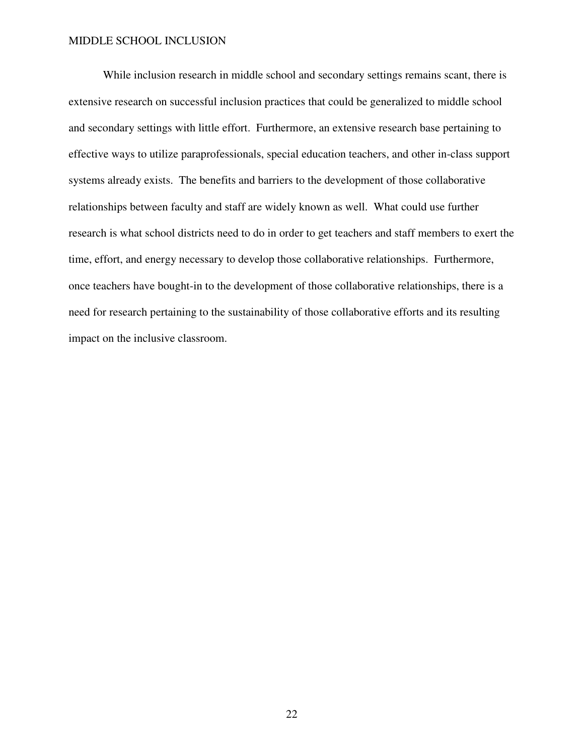While inclusion research in middle school and secondary settings remains scant, there is extensive research on successful inclusion practices that could be generalized to middle school and secondary settings with little effort. Furthermore, an extensive research base pertaining to effective ways to utilize paraprofessionals, special education teachers, and other in-class support systems already exists. The benefits and barriers to the development of those collaborative relationships between faculty and staff are widely known as well. What could use further research is what school districts need to do in order to get teachers and staff members to exert the time, effort, and energy necessary to develop those collaborative relationships. Furthermore, once teachers have bought-in to the development of those collaborative relationships, there is a need for research pertaining to the sustainability of those collaborative efforts and its resulting impact on the inclusive classroom.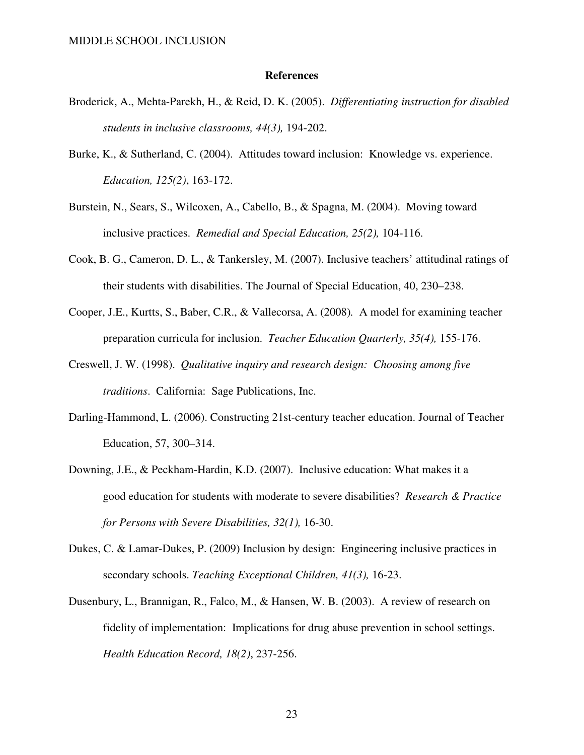#### **References**

- Broderick, A., Mehta-Parekh, H., & Reid, D. K. (2005). *Differentiating instruction for disabled students in inclusive classrooms, 44(3),* 194-202.
- Burke, K., & Sutherland, C. (2004). Attitudes toward inclusion: Knowledge vs. experience. *Education, 125(2)*, 163-172.
- Burstein, N., Sears, S., Wilcoxen, A., Cabello, B., & Spagna, M. (2004). Moving toward inclusive practices. *Remedial and Special Education, 25(2),* 104-116.
- Cook, B. G., Cameron, D. L., & Tankersley, M. (2007). Inclusive teachers' attitudinal ratings of their students with disabilities. The Journal of Special Education, 40, 230–238.
- Cooper, J.E., Kurtts, S., Baber, C.R., & Vallecorsa, A. (2008)*.* A model for examining teacher preparation curricula for inclusion. *Teacher Education Quarterly, 35(4),* 155-176.
- Creswell, J. W. (1998). *Qualitative inquiry and research design: Choosing among five traditions*. California: Sage Publications, Inc.
- Darling-Hammond, L. (2006). Constructing 21st-century teacher education. Journal of Teacher Education, 57, 300–314.
- Downing, J.E., & Peckham-Hardin, K.D. (2007). Inclusive education: What makes it a good education for students with moderate to severe disabilities? *Research & Practice for Persons with Severe Disabilities, 32(1),* 16-30.
- Dukes, C. & Lamar-Dukes, P. (2009) Inclusion by design: Engineering inclusive practices in secondary schools. *Teaching Exceptional Children, 41(3),* 16-23.
- Dusenbury, L., Brannigan, R., Falco, M., & Hansen, W. B. (2003). A review of research on fidelity of implementation: Implications for drug abuse prevention in school settings. *Health Education Record, 18(2)*, 237-256.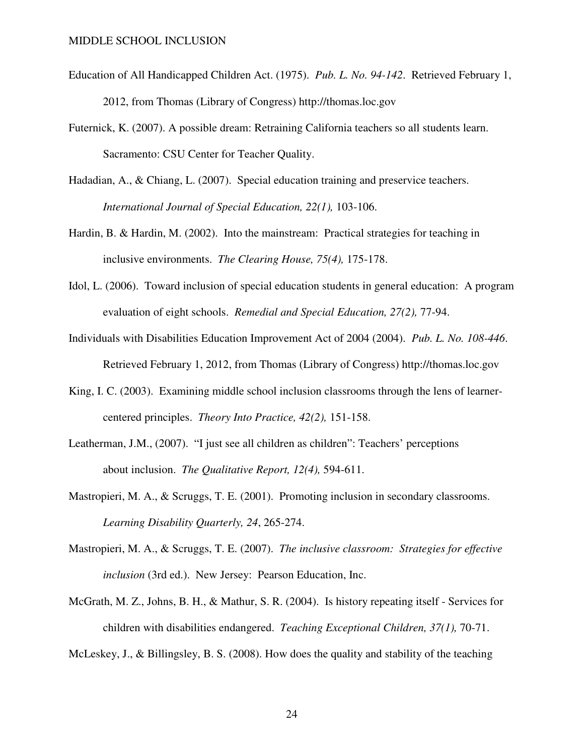- Education of All Handicapped Children Act. (1975). *Pub. L. No. 94-142*. Retrieved February 1, 2012, from Thomas (Library of Congress) http://thomas.loc.gov
- Futernick, K. (2007). A possible dream: Retraining California teachers so all students learn. Sacramento: CSU Center for Teacher Quality.
- Hadadian, A., & Chiang, L. (2007). Special education training and preservice teachers. *International Journal of Special Education, 22(1),* 103-106.
- Hardin, B. & Hardin, M. (2002). Into the mainstream: Practical strategies for teaching in inclusive environments. *The Clearing House, 75(4),* 175-178.
- Idol, L. (2006). Toward inclusion of special education students in general education: A program evaluation of eight schools. *Remedial and Special Education, 27(2),* 77-94.
- Individuals with Disabilities Education Improvement Act of 2004 (2004). *Pub. L. No. 108-446*. Retrieved February 1, 2012, from Thomas (Library of Congress) http://thomas.loc.gov
- King, I. C. (2003). Examining middle school inclusion classrooms through the lens of learnercentered principles. *Theory Into Practice, 42(2),* 151-158.
- Leatherman, J.M., (2007). "I just see all children as children": Teachers' perceptions about inclusion. *The Qualitative Report, 12(4),* 594-611.
- Mastropieri, M. A., & Scruggs, T. E. (2001). Promoting inclusion in secondary classrooms. *Learning Disability Quarterly, 24*, 265-274.
- Mastropieri, M. A., & Scruggs, T. E. (2007). *The inclusive classroom: Strategies for effective inclusion* (3rd ed.). New Jersey: Pearson Education, Inc.
- McGrath, M. Z., Johns, B. H., & Mathur, S. R. (2004). Is history repeating itself Services for children with disabilities endangered. *Teaching Exceptional Children, 37(1),* 70-71.

McLeskey, J., & Billingsley, B. S. (2008). How does the quality and stability of the teaching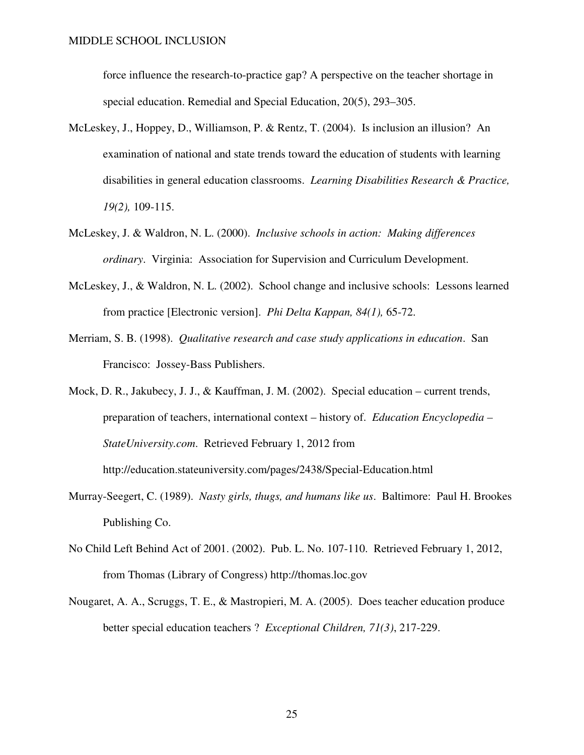force influence the research-to-practice gap? A perspective on the teacher shortage in special education. Remedial and Special Education, 20(5), 293–305.

- McLeskey, J., Hoppey, D., Williamson, P. & Rentz, T. (2004). Is inclusion an illusion? An examination of national and state trends toward the education of students with learning disabilities in general education classrooms. *Learning Disabilities Research & Practice, 19(2),* 109-115.
- McLeskey, J. & Waldron, N. L. (2000). *Inclusive schools in action: Making differences ordinary*. Virginia: Association for Supervision and Curriculum Development.
- McLeskey, J., & Waldron, N. L. (2002). School change and inclusive schools: Lessons learned from practice [Electronic version]. *Phi Delta Kappan, 84(1),* 65-72.
- Merriam, S. B. (1998). *Qualitative research and case study applications in education*. San Francisco: Jossey-Bass Publishers.
- Mock, D. R., Jakubecy, J. J., & Kauffman, J. M. (2002). Special education current trends, preparation of teachers, international context – history of. *Education Encyclopedia – StateUniversity.com*. Retrieved February 1, 2012 from http://education.stateuniversity.com/pages/2438/Special-Education.html
- Murray-Seegert, C. (1989). *Nasty girls, thugs, and humans like us*. Baltimore: Paul H. Brookes Publishing Co.
- No Child Left Behind Act of 2001. (2002). Pub. L. No. 107-110. Retrieved February 1, 2012, from Thomas (Library of Congress) http://thomas.loc.gov
- Nougaret, A. A., Scruggs, T. E., & Mastropieri, M. A. (2005). Does teacher education produce better special education teachers ? *Exceptional Children, 71(3)*, 217-229.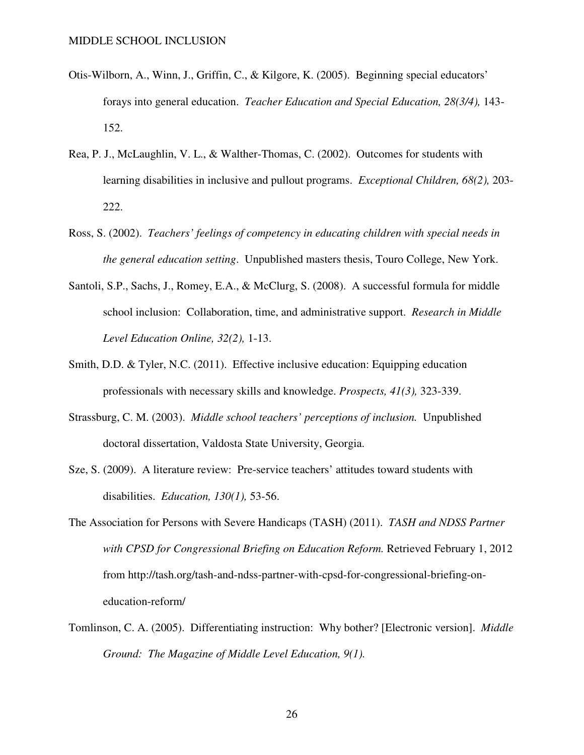- Otis-Wilborn, A., Winn, J., Griffin, C., & Kilgore, K. (2005). Beginning special educators' forays into general education. *Teacher Education and Special Education, 28(3/4),* 143- 152.
- Rea, P. J., McLaughlin, V. L., & Walther-Thomas, C. (2002). Outcomes for students with learning disabilities in inclusive and pullout programs. *Exceptional Children, 68(2),* 203- 222.
- Ross, S. (2002). *Teachers' feelings of competency in educating children with special needs in the general education setting*. Unpublished masters thesis, Touro College, New York.
- Santoli, S.P., Sachs, J., Romey, E.A., & McClurg, S. (2008). A successful formula for middle school inclusion: Collaboration, time, and administrative support. *Research in Middle Level Education Online, 32(2),* 1-13.
- Smith, D.D. & Tyler, N.C. (2011). Effective inclusive education: Equipping education professionals with necessary skills and knowledge. *Prospects, 41(3),* 323-339.
- Strassburg, C. M. (2003). *Middle school teachers' perceptions of inclusion.* Unpublished doctoral dissertation, Valdosta State University, Georgia.
- Sze, S. (2009). A literature review: Pre-service teachers' attitudes toward students with disabilities. *Education, 130(1),* 53-56.
- The Association for Persons with Severe Handicaps (TASH) (2011). *TASH and NDSS Partner with CPSD for Congressional Briefing on Education Reform.* Retrieved February 1, 2012 from http://tash.org/tash-and-ndss-partner-with-cpsd-for-congressional-briefing-oneducation-reform/
- Tomlinson, C. A. (2005). Differentiating instruction: Why bother? [Electronic version]. *Middle Ground: The Magazine of Middle Level Education, 9(1).*